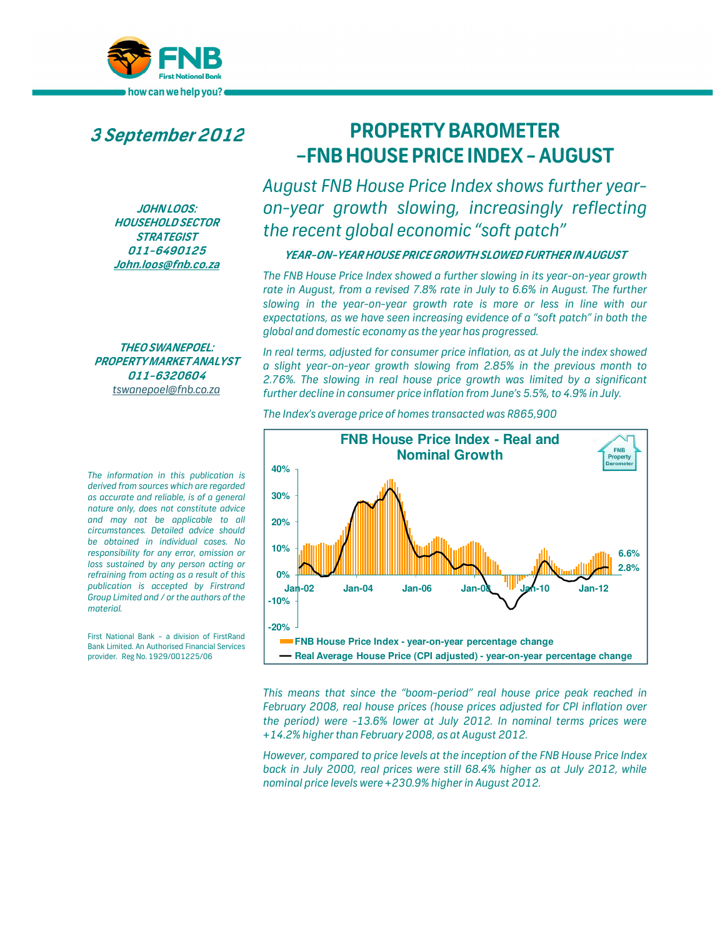

**3September2012**

**JOHN LOOS: HOUSEHOLD SECTOR STRATEGIST 011-6490125 John.loos@fnb.co.za**

**THEO SWANEPOEL: PROPERTY MARKET ANALYST 011-6320604**  *tswanepoel@fnb.co.za*

*The information in this publication is derived from sources which are regarded as accurate and reliable, is of a general nature only, does not constitute advice and may not be applicable to all circumstances. Detailed advice should be obtained in individual cases. No responsibility for any error, omission or loss sustained by any person acting or refraining from acting as a result of this publication is accepted by Firstrand Group Limited and / or the authors of the material.*

First National Bank – a division of FirstRand Bank Limited. An Authorised Financial Services provider. Reg No. 1929/001225/06

# **PROPERTY BAROMETER –FNB HOUSE PRICE INDEX - AUGUST**

*August FNB House Price Index shows further yearon-year growth slowing, increasingly reflecting the recent global economic "soft patch"* 

## **YEAR-ON-YEAR HOUSE PRICE GROWTH SLOWED FURTHER IN AUGUST**

*The FNB House Price Index showed a further slowing in its year-on-year growth*  rate in August, from a revised 7.8% rate in July to 6.6% in August. The further *slowing in the year-on-year growth rate is more or less in line with our expectations, as we have seen increasing evidence of a "soft patch" in both the global and domestic economy as the year has progressed.* 

*In real terms, adjusted for consumer price inflation, as at July the index showed a slight year-on-year growth slowing from 2.85% in the previous month to 2.76%. The slowing in real house price growth was limited by a significant further decline in consumer price inflation from June's 5.5%, to 4.9% in July.* 



*The Index's average price of homes transacted was R865,900* 

*This means that since the "boom-period" real house price peak reached in February 2008, real house prices (house prices adjusted for CPI inflation over the period) were -13.6% lower at July 2012. In nominal terms prices were +14.2% higher than February 2008, as at August 2012.* 

*However, compared to price levels at the inception of the FNB House Price Index back in July 2000, real prices were still 68.4% higher as at July 2012, while nominal price levels were +230.9% higher in August 2012.*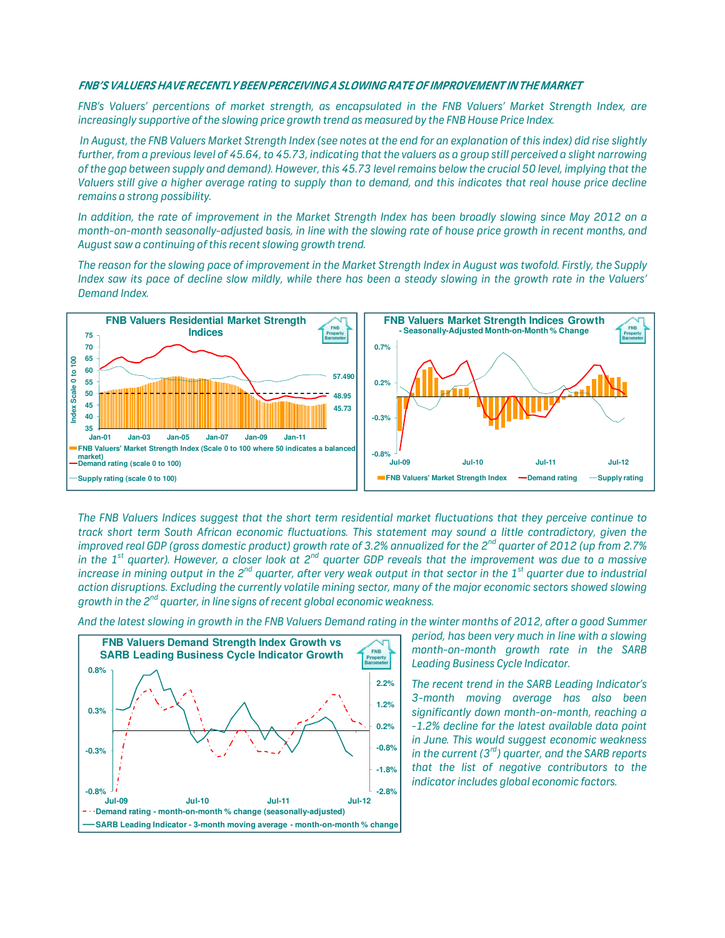#### **FNB'S VALUERS HAVE RECENTLY BEEN PERCEIVING A SLOWING RATE OF IMPROVEMENT IN THE MARKET**

*FNB's Valuers' percentions of market strength, as encapsulated in the FNB Valuers' Market Strength Index, are increasingly supportive of the slowing price growth trend as measured by the FNB House Price Index.* 

 *In August, the FNB Valuers Market Strength Index (see notes at the end for an explanation of this index) did rise slightly further, from a previous level of 45.64, to 45.73, indicating that the valuers as a group still perceived a slight narrowing of the gap between supply and demand). However, this 45.73 level remains below the crucial 50 level, implying that the Valuers still give a higher average rating to supply than to demand, and this indicates that real house price decline remains a strong possibility.* 

*In addition, the rate of improvement in the Market Strength Index has been broadly slowing since May 2012 on a month-on-month seasonally-adjusted basis, in line with the slowing rate of house price growth in recent months, and August saw a continuing of this recent slowing growth trend.* 

*The reason for the slowing pace of improvement in the Market Strength Index in August was twofold. Firstly, the Supply Index saw its pace of decline slow mildly, while there has been a steady slowing in the growth rate in the Valuers' Demand Index.* 



*The FNB Valuers Indices suggest that the short term residential market fluctuations that they perceive continue to track short term South African economic fluctuations. This statement may sound a little contradictory, given the improved real GDP (gross domestic product) growth rate of 3.2% annualized for the 2nd quarter of 2012 (up from 2.7% in the 1st quarter). However, a closer look at 2nd quarter GDP reveals that the improvement was due to a massive increase in mining output in the 2nd quarter, after very weak output in that sector in the 1st quarter due to industrial action disruptions. Excluding the currently volatile mining sector, many of the major economic sectors showed slowing growth in the 2nd quarter, in line signs of recent global economic weakness.* 





*period, has been very much in line with a slowing month-on-month growth rate in the SARB Leading Business Cycle Indicator.* 

*The recent trend in the SARB Leading Indicator's 3-month moving average has also been significantly down month-on-month, reaching a -1.2% decline for the latest available data point in June. This would suggest economic weakness in the current (3rd) quarter, and the SARB reports that the list of negative contributors to the indicator includes global economic factors.*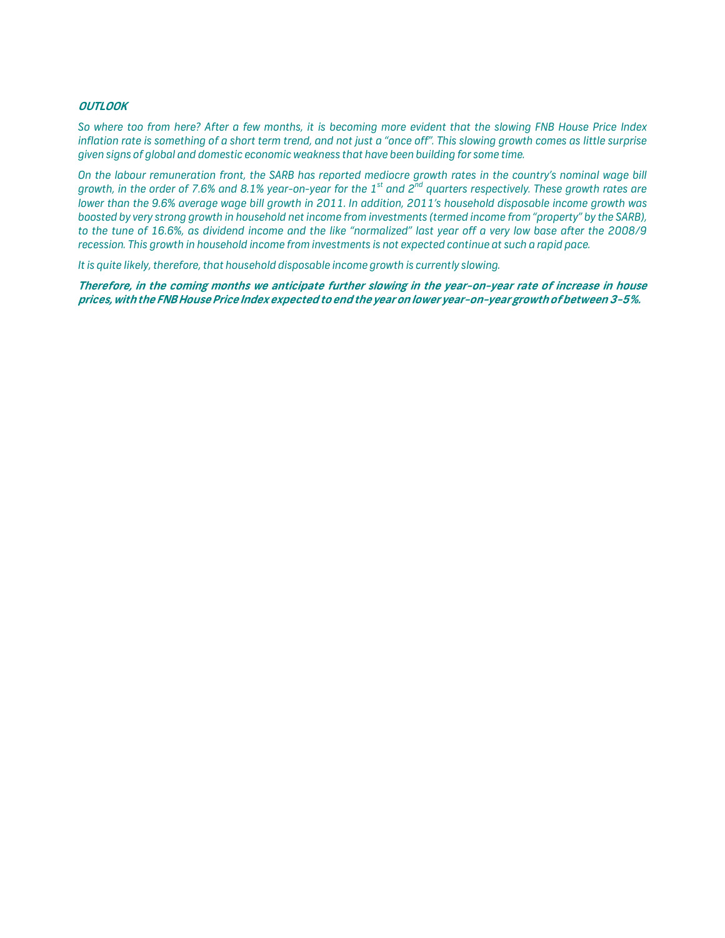## **OUTLOOK**

*So where too from here? After a few months, it is becoming more evident that the slowing FNB House Price Index inflation rate is something of a short term trend, and not just a "once off". This slowing growth comes as little surprise given signs of global and domestic economic weakness that have been building for some time.* 

*On the labour remuneration front, the SARB has reported mediocre growth rates in the country's nominal wage bill growth, in the order of 7.6% and 8.1% year-on-year for the 1st and 2nd quarters respectively. These growth rates are lower than the 9.6% average wage bill growth in 2011. In addition, 2011's household disposable income growth was boosted by very strong growth in household net income from investments (termed income from "property" by the SARB), to the tune of 16.6%, as dividend income and the like "normalized" last year off a very low base after the 2008/9 recession. This growth in household income from investments is not expected continue at such a rapid pace.* 

*It is quite likely, therefore, that household disposable income growth is currently slowing.* 

**Therefore, in the coming months we anticipate further slowing in the year-on-year rate of increase in house prices, with the FNB House Price Index expected to end the year on lower year-on-year growth of between 3-5%.**